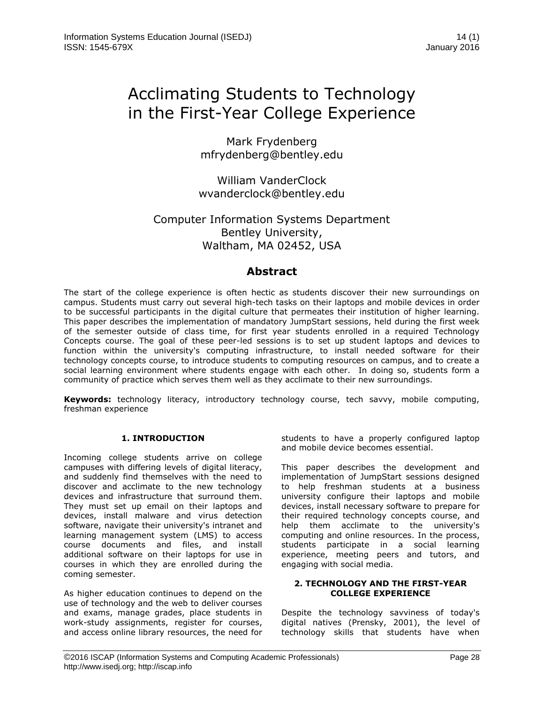# Acclimating Students to Technology in the First-Year College Experience

Mark Frydenberg mfrydenberg@bentley.edu

William VanderClock wvanderclock@bentley.edu

# Computer Information Systems Department Bentley University, Waltham, MA 02452, USA

# **Abstract**

The start of the college experience is often hectic as students discover their new surroundings on campus. Students must carry out several high-tech tasks on their laptops and mobile devices in order to be successful participants in the digital culture that permeates their institution of higher learning. This paper describes the implementation of mandatory JumpStart sessions, held during the first week of the semester outside of class time, for first year students enrolled in a required Technology Concepts course. The goal of these peer-led sessions is to set up student laptops and devices to function within the university's computing infrastructure, to install needed software for their technology concepts course, to introduce students to computing resources on campus, and to create a social learning environment where students engage with each other. In doing so, students form a community of practice which serves them well as they acclimate to their new surroundings.

**Keywords:** technology literacy, introductory technology course, tech savvy, mobile computing, freshman experience

## **1. INTRODUCTION**

Incoming college students arrive on college campuses with differing levels of digital literacy, and suddenly find themselves with the need to discover and acclimate to the new technology devices and infrastructure that surround them. They must set up email on their laptops and devices, install malware and virus detection software, navigate their university's intranet and learning management system (LMS) to access course documents and files, and install additional software on their laptops for use in courses in which they are enrolled during the coming semester.

As higher education continues to depend on the use of technology and the web to deliver courses and exams, manage grades, place students in work-study assignments, register for courses, and access online library resources, the need for students to have a properly configured laptop and mobile device becomes essential.

This paper describes the development and implementation of JumpStart sessions designed to help freshman students at a business university configure their laptops and mobile devices, install necessary software to prepare for their required technology concepts course, and help them acclimate to the university's computing and online resources. In the process, students participate in a social learning experience, meeting peers and tutors, and engaging with social media.

#### **2. TECHNOLOGY AND THE FIRST-YEAR COLLEGE EXPERIENCE**

Despite the technology savviness of today's digital natives (Prensky, 2001), the level of technology skills that students have when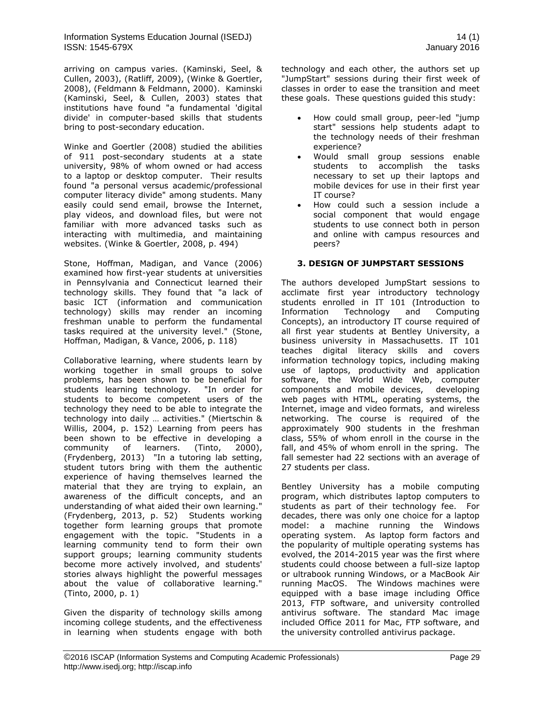Information Systems Education Journal (ISEDJ) 14 (1) ISSN: 1545-679X January 2016

arriving on campus varies. (Kaminski, Seel, & Cullen, 2003), (Ratliff, 2009), (Winke & Goertler, 2008), (Feldmann & Feldmann, 2000). Kaminski (Kaminski, Seel, & Cullen, 2003) states that institutions have found "a fundamental 'digital divide' in computer-based skills that students bring to post-secondary education.

Winke and Goertler (2008) studied the abilities of 911 post-secondary students at a state university, 98% of whom owned or had access to a laptop or desktop computer. Their results found "a personal versus academic/professional computer literacy divide" among students. Many easily could send email, browse the Internet, play videos, and download files, but were not familiar with more advanced tasks such as interacting with multimedia, and maintaining websites. (Winke & Goertler, 2008, p. 494)

Stone, Hoffman, Madigan, and Vance (2006) examined how first-year students at universities in Pennsylvania and Connecticut learned their technology skills. They found that "a lack of basic ICT (information and communication technology) skills may render an incoming freshman unable to perform the fundamental tasks required at the university level." (Stone, Hoffman, Madigan, & Vance, 2006, p. 118)

Collaborative learning, where students learn by working together in small groups to solve problems, has been shown to be beneficial for students learning technology. "In order for students to become competent users of the technology they need to be able to integrate the technology into daily … activities." (Miertschin & Willis, 2004, p. 152) Learning from peers has been shown to be effective in developing a community of learners. (Tinto, 2000), (Frydenberg, 2013) "In a tutoring lab setting, student tutors bring with them the authentic experience of having themselves learned the material that they are trying to explain, an awareness of the difficult concepts, and an understanding of what aided their own learning." (Frydenberg, 2013, p. 52) Students working together form learning groups that promote engagement with the topic. "Students in a learning community tend to form their own support groups; learning community students become more actively involved, and students' stories always highlight the powerful messages about the value of collaborative learning." (Tinto, 2000, p. 1)

Given the disparity of technology skills among incoming college students, and the effectiveness in learning when students engage with both technology and each other, the authors set up "JumpStart" sessions during their first week of classes in order to ease the transition and meet these goals. These questions guided this study:

- How could small group, peer-led "jump start" sessions help students adapt to the technology needs of their freshman experience?
- Would small group sessions enable students to accomplish the tasks necessary to set up their laptops and mobile devices for use in their first year IT course?
- How could such a session include a social component that would engage students to use connect both in person and online with campus resources and peers?

## **3. DESIGN OF JUMPSTART SESSIONS**

The authors developed JumpStart sessions to acclimate first year introductory technology students enrolled in IT 101 (Introduction to Information Technology and Computing Concepts), an introductory IT course required of all first year students at Bentley University, a business university in Massachusetts. IT 101 teaches digital literacy skills and covers information technology topics, including making use of laptops, productivity and application software, the World Wide Web, computer components and mobile devices, developing web pages with HTML, operating systems, the Internet, image and video formats, and wireless networking. The course is required of the approximately 900 students in the freshman class, 55% of whom enroll in the course in the fall, and 45% of whom enroll in the spring. The fall semester had 22 sections with an average of 27 students per class.

Bentley University has a mobile computing program, which distributes laptop computers to students as part of their technology fee. For decades, there was only one choice for a laptop model: a machine running the Windows operating system. As laptop form factors and the popularity of multiple operating systems has evolved, the 2014-2015 year was the first where students could choose between a full-size laptop or ultrabook running Windows, or a MacBook Air running MacOS. The Windows machines were equipped with a base image including Office 2013, FTP software, and university controlled antivirus software. The standard Mac image included Office 2011 for Mac, FTP software, and the university controlled antivirus package.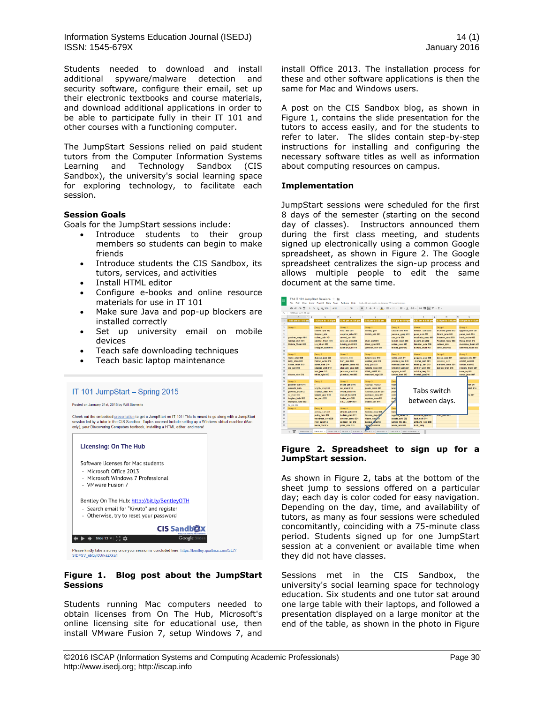Information Systems Education Journal (ISEDJ) 14 (1) ISSN: 1545-679X January 2016

Students needed to download and install additional spyware/malware detection and security software, configure their email, set up their electronic textbooks and course materials, and download additional applications in order to be able to participate fully in their IT 101 and other courses with a functioning computer.

The JumpStart Sessions relied on paid student tutors from the Computer Information Systems Learning and Technology Sandbox (CIS Sandbox), the university's social learning space for exploring technology, to facilitate each session.

## **Session Goals**

Goals for the JumpStart sessions include:

- Introduce students to their group members so students can begin to make friends
- Introduce students the CIS Sandbox, its tutors, services, and activities
- Install HTML editor

IT 101 JumpStart - Spring 2015

- Configure e-books and online resource materials for use in IT 101
- Make sure Java and pop-up blockers are installed correctly
- Set up university email on mobile devices
- Teach safe downloading techniques
- Teach basic laptop maintenance



#### **Figure 1. Blog post about the JumpStart Sessions**

Students running Mac computers needed to obtain licenses from On The Hub, Microsoft's online licensing site for educational use, then install VMware Fusion 7, setup Windows 7, and install Office 2013. The installation process for these and other software applications is then the same for Mac and Windows users.

A post on the CIS Sandbox blog, as shown in Figure 1, contains the slide presentation for the tutors to access easily, and for the students to refer to later. The slides contain step-by-step instructions for installing and configuring the necessary software titles as well as information about computing resources on campus.

#### **Implementation**

JumpStart sessions were scheduled for the first 8 days of the semester (starting on the second day of classes). Instructors announced them during the first class meeting, and students signed up electronically using a common Google spreadsheet, as shown in Figure 2. The Google spreadsheet centralizes the sign-up process and allows multiple people to edit the same document at the same time.

|               |                          | 8 m m T 5 5 8 8 92 123 - Arist | 10<br>$\mathbf{R}$                | $I \cong$                        | $\ddot{\bullet}$ , $\boxplus$ . $\odot$ . | $\mathbb{H} \cdot \bot \cdot \mid \rightarrow \cdot \quad \text{oo} \ \blacksquare \ \blacksquare \ \blacktriangledown \cdot \Sigma \cdot$ |                       |                    |
|---------------|--------------------------|--------------------------------|-----------------------------------|----------------------------------|-------------------------------------------|--------------------------------------------------------------------------------------------------------------------------------------------|-----------------------|--------------------|
| ÷.            | 9:55 am to 11:10 am      |                                |                                   |                                  |                                           |                                                                                                                                            |                       |                    |
|               | $\mathbf{A}$<br>$-1$     | $\mathbb{R}$<br>$\circ$<br>ö   | p                                 | ā                                | $\mathbf{H}$                              | ×                                                                                                                                          | M                     | $\circ$            |
|               | 9:55 am to 11:10 am      | 11:20 am to 12:35 pm           | 12:45 pm to 2:00 pm               | 2:10 pm to 3:25 pm               | 3:35 pm to 4:50 pm                        | 5:00 pm to 6:15 pm                                                                                                                         | 6:30 pm to 7:45 pm    | 8:00 pm to 5:15 pm |
|               |                          |                                |                                   |                                  |                                           |                                                                                                                                            |                       |                    |
|               | Group 1                  | Group 1                        | Group 1                           | Group 1                          | Group 1                                   | Geoup 1                                                                                                                                    | Group 1               | Group 1            |
|               |                          | strothe tyle 012               | hiltz trev 001                    | conley garr                      | salazar kris H01                          | tcheras samu003                                                                                                                            | brunone jame 012      | eppenst john 001   |
|               |                          | Karpacz eliz                   | urguhar rebe 001                  | birlikb adil 001                 | Jaenmal gasp H01                          | pena nata 003                                                                                                                              | Girand jenn 003       | perez_isab 006     |
|               | gardner mega H01         | cullen cath H01                | arnold carl 003                   |                                  | carr erin 008                             | machado anac 013                                                                                                                           | braverm scot 003      | buck mcke 006      |
|               | redingt_chri H01         | caldwel_thom H01               | edelson_autu003                   | shah alsh001                     | melvin_madi 008                           | Lucera ania002                                                                                                                             | Ponzian mary 003      | Rong Chen 013      |
|               | <b>Stabile Thorn 003</b> | Liu Khun 002                   | turking matt 003                  | black ryan 003                   | cohen jaco 010                            | lamaber este 005                                                                                                                           | robson davi           | moshane thorn x01  |
|               |                          | shaughn dani 003               | sammart furl 010                  | Johnson olly 011                 | mokas geor010                             | bartolo mari 001                                                                                                                           | carty alex 000        | lamothe noah 005   |
|               |                          |                                |                                   |                                  |                                           |                                                                                                                                            |                       |                    |
|               | Group 2                  | Group 2                        | Group 2                           | Group 2                          | Group 2                                   | Group 2                                                                                                                                    | Group 2               | Group 2            |
|               | leone char 008           | digiuse jose 003               | datenus alek                      | batawi luci 010                  | naher anik 011                            | poguen jaco 008                                                                                                                            | bosco jose 001        | spangle eric 007   |
| 13            | kelly shan 001           | Ferrari Anna 010               | burr alex 008                     | webber eliz 010                  | johnson isal X01                          | morae_josh 001                                                                                                                             | palumbo rach          | cristof celiOD7    |
| 14            | Sacco mich 010           | asher nish 010                 | angaram toma 003                  | daly juli X01                    | oconnel bran X01                          | moellig kait 010                                                                                                                           | markwei ianm 001      | virkler clai007    |
| 15            | xia yun 008              | catanza, anth 010              | alonsom grac 008                  | roberts nico X01                 | lokhand_saal X01                          | elithor_sidn 010                                                                                                                           | barlow_bran 016       | nickers thom 007   |
|               |                          | hart jere 010                  | jenzano dani 010                  | <b>KING JAME X01</b>             | nguyen tu 005                             | schille benj 011                                                                                                                           |                       | kane tayl001       |
|               | citrano rich 014         | white kyle 010                 | pkhakad vasi003                   | meswani raja X01                 | seroka bret 010                           | frankel_jake016                                                                                                                            |                       | corso jenn 007     |
|               |                          |                                |                                   |                                  |                                           |                                                                                                                                            |                       |                    |
|               | Group 3                  | Group 3                        | Group 3                           | Group 3                          | Grou                                      | ari 007<br>ANR 014<br>Tabs switch<br>ia 057                                                                                                |                       |                    |
|               | gusinov_aaro 014         |                                | scano_jona 010                    | Alashga Khal001                  | raum                                      |                                                                                                                                            |                       |                    |
|               | mocarth kath             | wrighty_stepXD1                | cai meil 010                      | peach mich 001                   | brays                                     |                                                                                                                                            |                       |                    |
|               | grooms tyla 012          | shamail dean X01               | neshe nich 010                    | Tashkan Osam 001                 | patas                                     |                                                                                                                                            |                       |                    |
| 23            | ou zhan 002              | hazard glor X01                | dutsuit kore010                   | Lemieux Jose 011                 | colvi                                     |                                                                                                                                            |                       |                    |
| $^{24}$<br>25 | hughes kath 002          | lee alex X01                   | foster eric X01                   | squizze marc011                  | shall                                     | between days.                                                                                                                              |                       |                    |
|               | thomase Ivnd 002         |                                | CILLI JOHN X01                    | Gobell tayl 014                  | fast                                      |                                                                                                                                            |                       |                    |
| 26<br>27      | he xin 002               |                                |                                   |                                  |                                           |                                                                                                                                            |                       |                    |
|               | Group 4                  | Group 4                        | Group 4                           | Group 4                          | Grou                                      |                                                                                                                                            |                       |                    |
| 29            |                          | alshery_sait X01               | etherin_john 010                  | hemme nico 008                   | trong                                     |                                                                                                                                            |                       |                    |
|               |                          | putra henr 010                 | balleza alex 011                  | falcone step oge                 | regalaz serecie                           | <b><i><u>ACCOUNTS INTO A LOS</u></i></b>                                                                                                   | <b>MOTOR CONTRACT</b> |                    |
|               |                          | woodman_cyru008                | drucker_samu 001                  | nizam naz 911                    | acosta ashi 002                           | louf nath 014                                                                                                                              |                       |                    |
|               |                          | ryan dani014<br>Mella Chri014  | conden juli 012<br>pires stac 013 | baggia jana014<br>vitale mich016 | schied tris 004<br>leach lack 007         | ambarts vemi005<br>bath beni                                                                                                               |                       |                    |

#### **Figure 2. Spreadsheet to sign up for a JumpStart session.**

As shown in Figure 2, tabs at the bottom of the sheet jump to sessions offered on a particular day; each day is color coded for easy navigation. Depending on the day, time, and availability of tutors, as many as four sessions were scheduled concomitantly, coinciding with a 75-minute class period. Students signed up for one JumpStart session at a convenient or available time when they did not have classes.

Sessions met in the CIS Sandbox, the university's social learning space for technology education. Six students and one tutor sat around one large table with their laptops, and followed a presentation displayed on a large monitor at the end of the table, as shown in the photo in Figure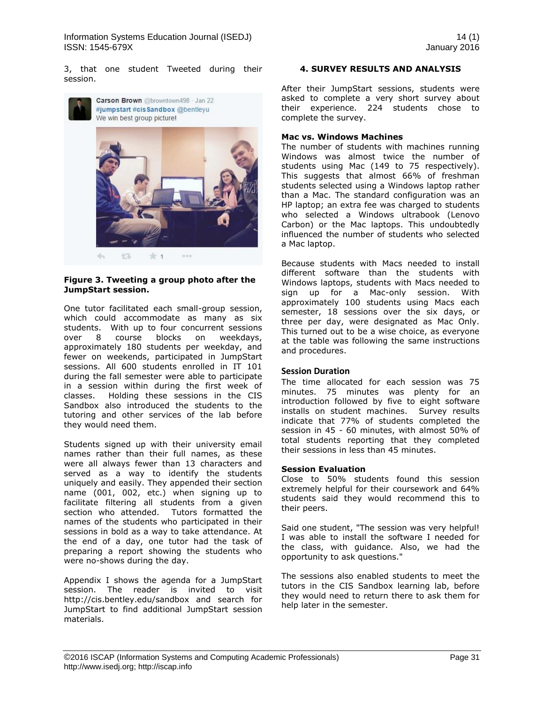3, that one student Tweeted during their session.



#### **Figure 3. Tweeting a group photo after the JumpStart session.**

One tutor facilitated each small-group session, which could accommodate as many as six students. With up to four concurrent sessions over 8 course blocks on weekdays, approximately 180 students per weekday, and fewer on weekends, participated in JumpStart sessions. All 600 students enrolled in IT 101 during the fall semester were able to participate in a session within during the first week of classes. Holding these sessions in the CIS Sandbox also introduced the students to the tutoring and other services of the lab before they would need them.

Students signed up with their university email names rather than their full names, as these were all always fewer than 13 characters and served as a way to identify the students uniquely and easily. They appended their section name (001, 002, etc.) when signing up to facilitate filtering all students from a given section who attended. Tutors formatted the names of the students who participated in their sessions in bold as a way to take attendance. At the end of a day, one tutor had the task of preparing a report showing the students who were no-shows during the day.

Appendix I shows the agenda for a JumpStart session. The reader is invited to visit http://cis.bentley.edu/sandbox and search for JumpStart to find additional JumpStart session materials.

## **4. SURVEY RESULTS AND ANALYSIS**

After their JumpStart sessions, students were asked to complete a very short survey about their experience. 224 students chose to complete the survey.

#### **Mac vs. Windows Machines**

The number of students with machines running Windows was almost twice the number of students using Mac (149 to 75 respectively). This suggests that almost 66% of freshman students selected using a Windows laptop rather than a Mac. The standard configuration was an HP laptop; an extra fee was charged to students who selected a Windows ultrabook (Lenovo Carbon) or the Mac laptops. This undoubtedly influenced the number of students who selected a Mac laptop.

Because students with Macs needed to install different software than the students with Windows laptops, students with Macs needed to sign up for a Mac-only session. With approximately 100 students using Macs each semester, 18 sessions over the six days, or three per day, were designated as Mac Only. This turned out to be a wise choice, as everyone at the table was following the same instructions and procedures.

#### **Session Duration**

The time allocated for each session was 75 minutes. 75 minutes was plenty for an introduction followed by five to eight software installs on student machines. Survey results indicate that 77% of students completed the session in 45 - 60 minutes, with almost 50% of total students reporting that they completed their sessions in less than 45 minutes.

#### **Session Evaluation**

Close to 50% students found this session extremely helpful for their coursework and 64% students said they would recommend this to their peers.

Said one student, "The session was very helpful! I was able to install the software I needed for the class, with guidance. Also, we had the opportunity to ask questions."

The sessions also enabled students to meet the tutors in the CIS Sandbox learning lab, before they would need to return there to ask them for help later in the semester.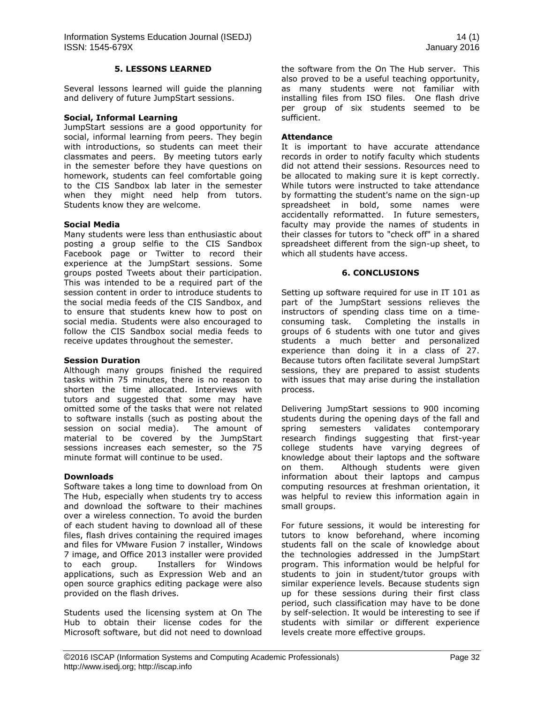#### **5. LESSONS LEARNED**

Several lessons learned will guide the planning and delivery of future JumpStart sessions.

#### **Social, Informal Learning**

JumpStart sessions are a good opportunity for social, informal learning from peers. They begin with introductions, so students can meet their classmates and peers. By meeting tutors early in the semester before they have questions on homework, students can feel comfortable going to the CIS Sandbox lab later in the semester when they might need help from tutors. Students know they are welcome.

#### **Social Media**

Many students were less than enthusiastic about posting a group selfie to the CIS Sandbox Facebook page or Twitter to record their experience at the JumpStart sessions. Some groups posted Tweets about their participation. This was intended to be a required part of the session content in order to introduce students to the social media feeds of the CIS Sandbox, and to ensure that students knew how to post on social media. Students were also encouraged to follow the CIS Sandbox social media feeds to receive updates throughout the semester.

#### **Session Duration**

Although many groups finished the required tasks within 75 minutes, there is no reason to shorten the time allocated. Interviews with tutors and suggested that some may have omitted some of the tasks that were not related to software installs (such as posting about the session on social media). The amount of material to be covered by the JumpStart sessions increases each semester, so the 75 minute format will continue to be used.

#### **Downloads**

Software takes a long time to download from On The Hub, especially when students try to access and download the software to their machines over a wireless connection. To avoid the burden of each student having to download all of these files, flash drives containing the required images and files for VMware Fusion 7 installer, Windows 7 image, and Office 2013 installer were provided to each group. Installers for Windows applications, such as Expression Web and an open source graphics editing package were also provided on the flash drives.

Students used the licensing system at On The Hub to obtain their license codes for the Microsoft software, but did not need to download the software from the On The Hub server. This also proved to be a useful teaching opportunity, as many students were not familiar with installing files from ISO files. One flash drive per group of six students seemed to be sufficient.

#### **Attendance**

It is important to have accurate attendance records in order to notify faculty which students did not attend their sessions. Resources need to be allocated to making sure it is kept correctly. While tutors were instructed to take attendance by formatting the student's name on the sign-up spreadsheet in bold, some names were accidentally reformatted. In future semesters, faculty may provide the names of students in their classes for tutors to "check off" in a shared spreadsheet different from the sign-up sheet, to which all students have access.

#### **6. CONCLUSIONS**

Setting up software required for use in IT 101 as part of the JumpStart sessions relieves the instructors of spending class time on a timeconsuming task. Completing the installs in groups of 6 students with one tutor and gives students a much better and personalized experience than doing it in a class of 27. Because tutors often facilitate several JumpStart sessions, they are prepared to assist students with issues that may arise during the installation process.

Delivering JumpStart sessions to 900 incoming students during the opening days of the fall and spring semesters validates contemporary research findings suggesting that first-year college students have varying degrees of knowledge about their laptops and the software on them. Although students were given information about their laptops and campus computing resources at freshman orientation, it was helpful to review this information again in small groups.

For future sessions, it would be interesting for tutors to know beforehand, where incoming students fall on the scale of knowledge about the technologies addressed in the JumpStart program. This information would be helpful for students to join in student/tutor groups with similar experience levels. Because students sign up for these sessions during their first class period, such classification may have to be done by self-selection. It would be interesting to see if students with similar or different experience levels create more effective groups.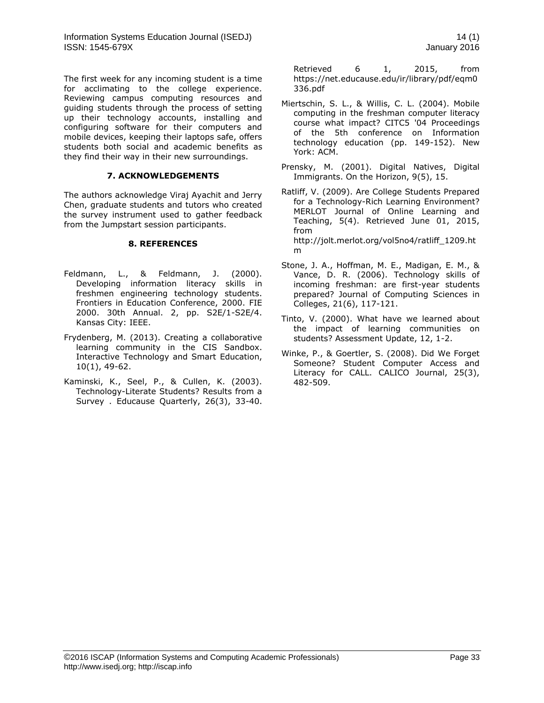The first week for any incoming student is a time for acclimating to the college experience. Reviewing campus computing resources and guiding students through the process of setting up their technology accounts, installing and configuring software for their computers and mobile devices, keeping their laptops safe, offers students both social and academic benefits as they find their way in their new surroundings.

#### **7. ACKNOWLEDGEMENTS**

The authors acknowledge Viraj Ayachit and Jerry Chen, graduate students and tutors who created the survey instrument used to gather feedback from the Jumpstart session participants.

#### **8. REFERENCES**

- Feldmann, L., & Feldmann, J. (2000). Developing information literacy skills in freshmen engineering technology students. Frontiers in Education Conference, 2000. FIE 2000. 30th Annual. 2, pp. S2E/1-S2E/4. Kansas City: IEEE.
- Frydenberg, M. (2013). Creating a collaborative learning community in the CIS Sandbox. Interactive Technology and Smart Education, 10(1), 49-62.
- Kaminski, K., Seel, P., & Cullen, K. (2003). Technology-Literate Students? Results from a Survey . Educause Quarterly, 26(3), 33-40.

Retrieved 6 1, 2015, from https://net.educause.edu/ir/library/pdf/eqm0 336.pdf

- Miertschin, S. L., & Willis, C. L. (2004). Mobile computing in the freshman computer literacy course what impact? CITC5 '04 Proceedings of the 5th conference on Information technology education (pp. 149-152). New York: ACM.
- Prensky, M. (2001). Digital Natives, Digital Immigrants. On the Horizon, 9(5), 15.
- Ratliff, V. (2009). Are College Students Prepared for a Technology-Rich Learning Environment? MERLOT Journal of Online Learning and Teaching, 5(4). Retrieved June 01, 2015, from http://jolt.merlot.org/vol5no4/ratliff\_1209.ht

m

- Stone, J. A., Hoffman, M. E., Madigan, E. M., & Vance, D. R. (2006). Technology skills of incoming freshman: are first-year students prepared? Journal of Computing Sciences in Colleges, 21(6), 117-121.
- Tinto, V. (2000). What have we learned about the impact of learning communities on students? Assessment Update, 12, 1-2.
- Winke, P., & Goertler, S. (2008). Did We Forget Someone? Student Computer Access and Literacy for CALL. CALICO Journal, 25(3), 482-509.